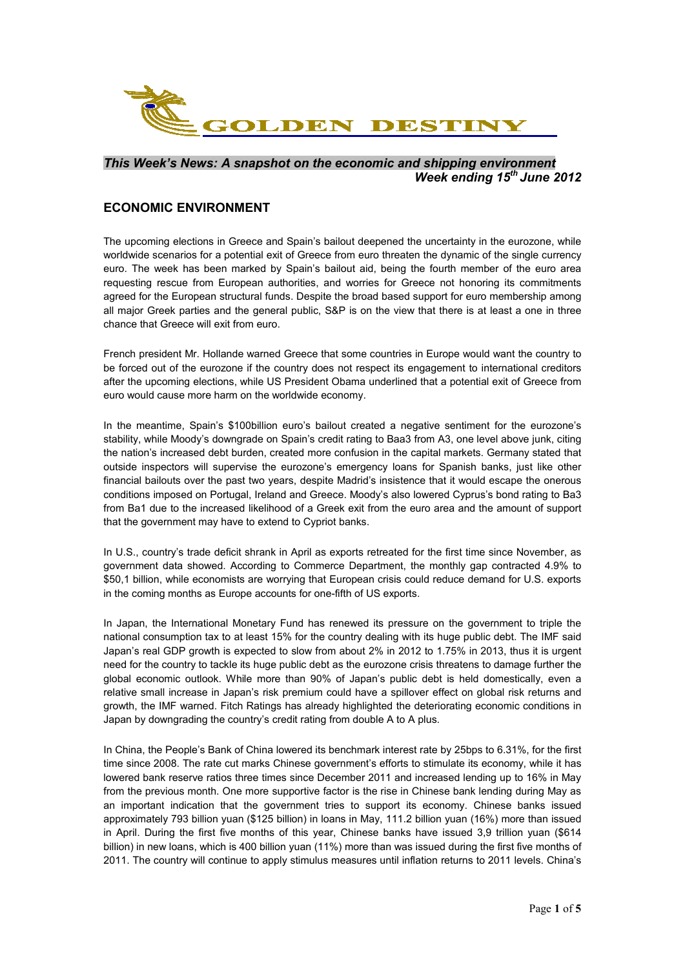

#### *This Week's News: A snapshot on the economic and shipping environment Week ending 15th June 2012*

### **ECONOMIC ENVIRONMENT**

The upcoming elections in Greece and Spain's bailout deepened the uncertainty in the eurozone, while worldwide scenarios for a potential exit of Greece from euro threaten the dynamic of the single currency euro. The week has been marked by Spain's bailout aid, being the fourth member of the euro area requesting rescue from European authorities, and worries for Greece not honoring its commitments agreed for the European structural funds. Despite the broad based support for euro membership among all major Greek parties and the general public, S&P is on the view that there is at least a one in three chance that Greece will exit from euro.

French president Mr. Hollande warned Greece that some countries in Europe would want the country to be forced out of the eurozone if the country does not respect its engagement to international creditors after the upcoming elections, while US President Obama underlined that a potential exit of Greece from euro would cause more harm on the worldwide economy.

In the meantime, Spain's \$100billion euro's bailout created a negative sentiment for the eurozone's stability, while Moody's downgrade on Spain's credit rating to Baa3 from A3, one level above junk, citing the nation's increased debt burden, created more confusion in the capital markets. Germany stated that outside inspectors will supervise the eurozone's emergency loans for Spanish banks, just like other financial bailouts over the past two years, despite Madrid's insistence that it would escape the onerous conditions imposed on Portugal, Ireland and Greece. Moody's also lowered Cyprus's bond rating to Ba3 from Ba1 due to the increased likelihood of a Greek exit from the euro area and the amount of support that the government may have to extend to Cypriot banks.

In U.S., country's trade deficit shrank in April as exports retreated for the first time since November, as government data showed. According to Commerce Department, the monthly gap contracted 4.9% to \$50,1 billion, while economists are worrying that European crisis could reduce demand for U.S. exports in the coming months as Europe accounts for one-fifth of US exports.

In Japan, the International Monetary Fund has renewed its pressure on the government to triple the national consumption tax to at least 15% for the country dealing with its huge public debt. The IMF said Japan's real GDP growth is expected to slow from about 2% in 2012 to 1.75% in 2013, thus it is urgent need for the country to tackle its huge public debt as the eurozone crisis threatens to damage further the global economic outlook. While more than 90% of Japan's public debt is held domestically, even a relative small increase in Japan's risk premium could have a spillover effect on global risk returns and growth, the IMF warned. Fitch Ratings has already highlighted the deteriorating economic conditions in Japan by downgrading the country's credit rating from double A to A plus.

In China, the People's Bank of China lowered its benchmark interest rate by 25bps to 6.31%, for the first time since 2008. The rate cut marks Chinese government's efforts to stimulate its economy, while it has lowered bank reserve ratios three times since December 2011 and increased lending up to 16% in May from the previous month. One more supportive factor is the rise in Chinese bank lending during May as an important indication that the government tries to support its economy. Chinese banks issued approximately 793 billion yuan (\$125 billion) in loans in May, 111.2 billion yuan (16%) more than issued in April. During the first five months of this year, Chinese banks have issued 3,9 trillion yuan (\$614 billion) in new loans, which is 400 billion yuan (11%) more than was issued during the first five months of 2011. The country will continue to apply stimulus measures until inflation returns to 2011 levels. China's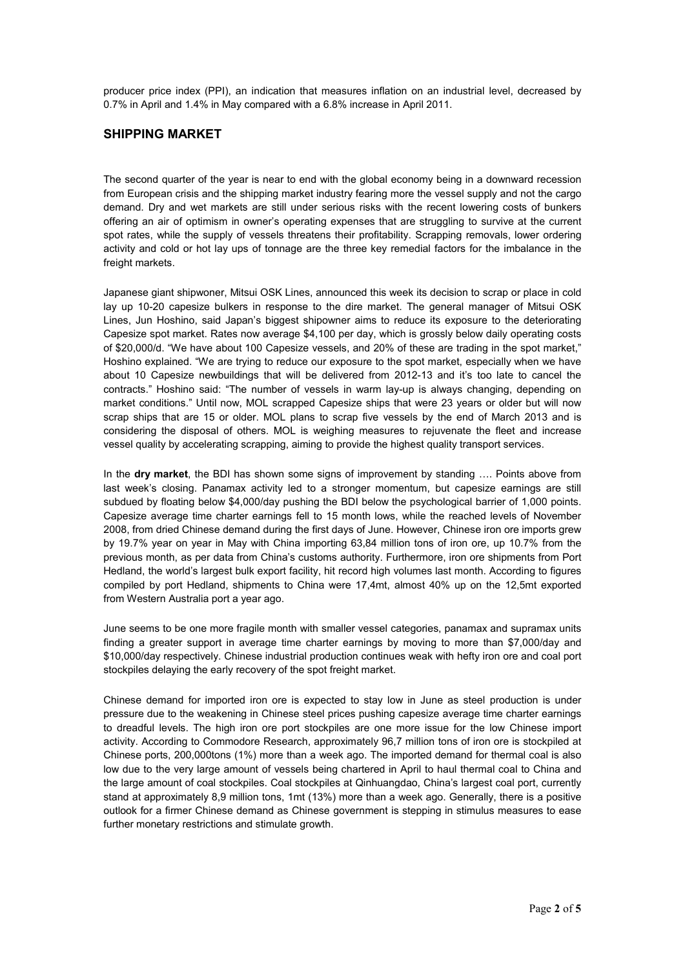producer price index (PPI), an indication that measures inflation on an industrial level, decreased by 0.7% in April and 1.4% in May compared with a 6.8% increase in April 2011.

# **SHIPPING MARKET**

The second quarter of the year is near to end with the global economy being in a downward recession from European crisis and the shipping market industry fearing more the vessel supply and not the cargo demand. Dry and wet markets are still under serious risks with the recent lowering costs of bunkers offering an air of optimism in owner's operating expenses that are struggling to survive at the current spot rates, while the supply of vessels threatens their profitability. Scrapping removals, lower ordering activity and cold or hot lay ups of tonnage are the three key remedial factors for the imbalance in the freight markets.

Japanese giant shipwoner, Mitsui OSK Lines, announced this week its decision to scrap or place in cold lay up 10-20 capesize bulkers in response to the dire market. The general manager of Mitsui OSK Lines, Jun Hoshino, said Japan's biggest shipowner aims to reduce its exposure to the deteriorating Capesize spot market. Rates now average \$4,100 per day, which is grossly below daily operating costs of \$20,000/d. "We have about 100 Capesize vessels, and 20% of these are trading in the spot market," Hoshino explained. "We are trying to reduce our exposure to the spot market, especially when we have about 10 Capesize newbuildings that will be delivered from 2012-13 and it's too late to cancel the contracts." Hoshino said: "The number of vessels in warm lay-up is always changing, depending on market conditions." Until now, MOL scrapped Capesize ships that were 23 years or older but will now scrap ships that are 15 or older. MOL plans to scrap five vessels by the end of March 2013 and is considering the disposal of others. MOL is weighing measures to rejuvenate the fleet and increase vessel quality by accelerating scrapping, aiming to provide the highest quality transport services.

In the **dry market**, the BDI has shown some signs of improvement by standing …. Points above from last week's closing. Panamax activity led to a stronger momentum, but capesize earnings are still subdued by floating below \$4,000/day pushing the BDI below the psychological barrier of 1,000 points. Capesize average time charter earnings fell to 15 month lows, while the reached levels of November 2008, from dried Chinese demand during the first days of June. However, Chinese iron ore imports grew by 19.7% year on year in May with China importing 63,84 million tons of iron ore, up 10.7% from the previous month, as per data from China's customs authority. Furthermore, iron ore shipments from Port Hedland, the world's largest bulk export facility, hit record high volumes last month. According to figures compiled by port Hedland, shipments to China were 17,4mt, almost 40% up on the 12,5mt exported from Western Australia port a year ago.

June seems to be one more fragile month with smaller vessel categories, panamax and supramax units finding a greater support in average time charter earnings by moving to more than \$7,000/day and \$10,000/day respectively. Chinese industrial production continues weak with hefty iron ore and coal port stockpiles delaying the early recovery of the spot freight market.

Chinese demand for imported iron ore is expected to stay low in June as steel production is under pressure due to the weakening in Chinese steel prices pushing capesize average time charter earnings to dreadful levels. The high iron ore port stockpiles are one more issue for the low Chinese import activity. According to Commodore Research, approximately 96,7 million tons of iron ore is stockpiled at Chinese ports, 200,000tons (1%) more than a week ago. The imported demand for thermal coal is also low due to the very large amount of vessels being chartered in April to haul thermal coal to China and the large amount of coal stockpiles. Coal stockpiles at Qinhuangdao, China's largest coal port, currently stand at approximately 8,9 million tons, 1mt (13%) more than a week ago. Generally, there is a positive outlook for a firmer Chinese demand as Chinese government is stepping in stimulus measures to ease further monetary restrictions and stimulate growth.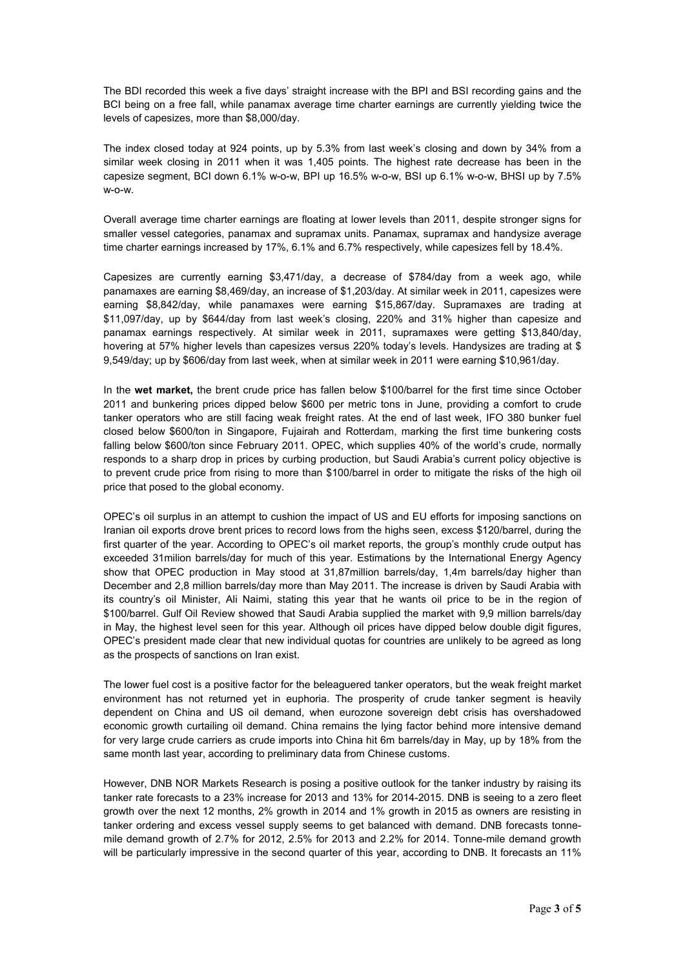The BDI recorded this week a five days' straight increase with the BPI and BSI recording gains and the BCI being on a free fall, while panamax average time charter earnings are currently yielding twice the levels of capesizes, more than \$8,000/day.

The index closed today at 924 points, up by 5.3% from last week's closing and down by 34% from a similar week closing in 2011 when it was 1,405 points. The highest rate decrease has been in the capesize segment, BCI down 6.1% w-o-w, BPI up 16.5% w-o-w, BSI up 6.1% w-o-w, BHSI up by 7.5% w-o-w.

Overall average time charter earnings are floating at lower levels than 2011, despite stronger signs for smaller vessel categories, panamax and supramax units. Panamax, supramax and handysize average time charter earnings increased by 17%, 6.1% and 6.7% respectively, while capesizes fell by 18.4%.

Capesizes are currently earning \$3,471/day, a decrease of \$784/day from a week ago, while panamaxes are earning \$8,469/day, an increase of \$1,203/day. At similar week in 2011, capesizes were earning \$8,842/day, while panamaxes were earning \$15,867/day. Supramaxes are trading at \$11,097/day, up by \$644/day from last week's closing, 220% and 31% higher than capesize and panamax earnings respectively. At similar week in 2011, supramaxes were getting \$13,840/day, hovering at 57% higher levels than capesizes versus 220% today's levels. Handysizes are trading at \$ 9,549/day; up by \$606/day from last week, when at similar week in 2011 were earning \$10,961/day.

In the **wet market,** the brent crude price has fallen below \$100/barrel for the first time since October 2011 and bunkering prices dipped below \$600 per metric tons in June, providing a comfort to crude tanker operators who are still facing weak freight rates. At the end of last week, IFO 380 bunker fuel closed below \$600/ton in Singapore, Fujairah and Rotterdam, marking the first time bunkering costs falling below \$600/ton since February 2011. OPEC, which supplies 40% of the world's crude, normally responds to a sharp drop in prices by curbing production, but Saudi Arabia's current policy objective is to prevent crude price from rising to more than \$100/barrel in order to mitigate the risks of the high oil price that posed to the global economy.

OPEC's oil surplus in an attempt to cushion the impact of US and EU efforts for imposing sanctions on Iranian oil exports drove brent prices to record lows from the highs seen, excess \$120/barrel, during the first quarter of the year. According to OPEC's oil market reports, the group's monthly crude output has exceeded 31milion barrels/day for much of this year. Estimations by the International Energy Agency show that OPEC production in May stood at 31,87million barrels/day, 1,4m barrels/day higher than December and 2,8 million barrels/day more than May 2011. The increase is driven by Saudi Arabia with its country's oil Minister, Ali Naimi, stating this year that he wants oil price to be in the region of \$100/barrel. Gulf Oil Review showed that Saudi Arabia supplied the market with 9,9 million barrels/day in May, the highest level seen for this year. Although oil prices have dipped below double digit figures, OPEC's president made clear that new individual quotas for countries are unlikely to be agreed as long as the prospects of sanctions on Iran exist.

The lower fuel cost is a positive factor for the beleaguered tanker operators, but the weak freight market environment has not returned yet in euphoria. The prosperity of crude tanker segment is heavily dependent on China and US oil demand, when eurozone sovereign debt crisis has overshadowed economic growth curtailing oil demand. China remains the lying factor behind more intensive demand for very large crude carriers as crude imports into China hit 6m barrels/day in May, up by 18% from the same month last year, according to preliminary data from Chinese customs.

However, DNB NOR Markets Research is posing a positive outlook for the tanker industry by raising its tanker rate forecasts to a 23% increase for 2013 and 13% for 2014-2015. DNB is seeing to a zero fleet growth over the next 12 months, 2% growth in 2014 and 1% growth in 2015 as owners are resisting in tanker ordering and excess vessel supply seems to get balanced with demand. DNB forecasts tonnemile demand growth of 2.7% for 2012, 2.5% for 2013 and 2.2% for 2014. Tonne-mile demand growth will be particularly impressive in the second quarter of this year, according to DNB. It forecasts an 11%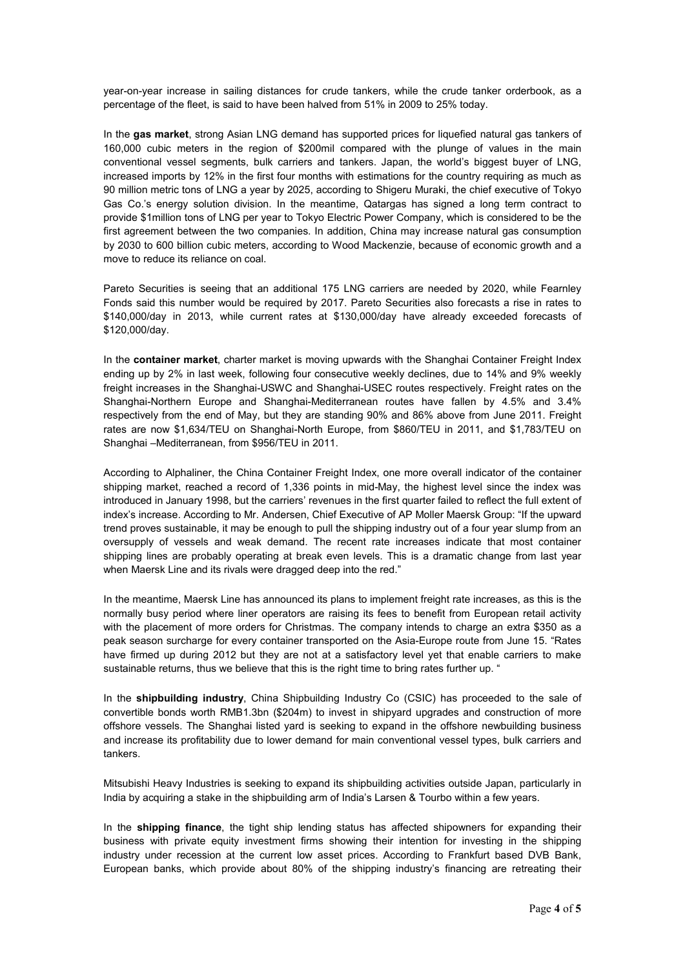year-on-year increase in sailing distances for crude tankers, while the crude tanker orderbook, as a percentage of the fleet, is said to have been halved from 51% in 2009 to 25% today.

In the **gas market**, strong Asian LNG demand has supported prices for liquefied natural gas tankers of 160,000 cubic meters in the region of \$200mil compared with the plunge of values in the main conventional vessel segments, bulk carriers and tankers. Japan, the world's biggest buyer of LNG, increased imports by 12% in the first four months with estimations for the country requiring as much as 90 million metric tons of LNG a year by 2025, according to Shigeru Muraki, the chief executive of Tokyo Gas Co.'s energy solution division. In the meantime, Qatargas has signed a long term contract to provide \$1million tons of LNG per year to Tokyo Electric Power Company, which is considered to be the first agreement between the two companies. In addition, China may increase natural gas consumption by 2030 to 600 billion cubic meters, according to Wood Mackenzie, because of economic growth and a move to reduce its reliance on coal.

Pareto Securities is seeing that an additional 175 LNG carriers are needed by 2020, while Fearnley Fonds said this number would be required by 2017. Pareto Securities also forecasts a rise in rates to \$140,000/day in 2013, while current rates at \$130,000/day have already exceeded forecasts of \$120,000/day.

In the **container market**, charter market is moving upwards with the Shanghai Container Freight Index ending up by 2% in last week, following four consecutive weekly declines, due to 14% and 9% weekly freight increases in the Shanghai-USWC and Shanghai-USEC routes respectively. Freight rates on the Shanghai-Northern Europe and Shanghai-Mediterranean routes have fallen by 4.5% and 3.4% respectively from the end of May, but they are standing 90% and 86% above from June 2011. Freight rates are now \$1,634/TEU on Shanghai-North Europe, from \$860/TEU in 2011, and \$1,783/TEU on Shanghai –Mediterranean, from \$956/TEU in 2011.

According to Alphaliner, the China Container Freight Index, one more overall indicator of the container shipping market, reached a record of 1,336 points in mid-May, the highest level since the index was introduced in January 1998, but the carriers' revenues in the first quarter failed to reflect the full extent of index's increase. According to Mr. Andersen, Chief Executive of AP Moller Maersk Group: "If the upward trend proves sustainable, it may be enough to pull the shipping industry out of a four year slump from an oversupply of vessels and weak demand. The recent rate increases indicate that most container shipping lines are probably operating at break even levels. This is a dramatic change from last year when Maersk Line and its rivals were dragged deep into the red."

In the meantime, Maersk Line has announced its plans to implement freight rate increases, as this is the normally busy period where liner operators are raising its fees to benefit from European retail activity with the placement of more orders for Christmas. The company intends to charge an extra \$350 as a peak season surcharge for every container transported on the Asia-Europe route from June 15. "Rates have firmed up during 2012 but they are not at a satisfactory level yet that enable carriers to make sustainable returns, thus we believe that this is the right time to bring rates further up. "

In the **shipbuilding industry**, China Shipbuilding Industry Co (CSIC) has proceeded to the sale of convertible bonds worth RMB1.3bn (\$204m) to invest in shipyard upgrades and construction of more offshore vessels. The Shanghai listed yard is seeking to expand in the offshore newbuilding business and increase its profitability due to lower demand for main conventional vessel types, bulk carriers and tankers.

Mitsubishi Heavy Industries is seeking to expand its shipbuilding activities outside Japan, particularly in India by acquiring a stake in the shipbuilding arm of India's Larsen & Tourbo within a few years.

In the **shipping finance**, the tight ship lending status has affected shipowners for expanding their business with private equity investment firms showing their intention for investing in the shipping industry under recession at the current low asset prices. According to Frankfurt based DVB Bank, European banks, which provide about 80% of the shipping industry's financing are retreating their